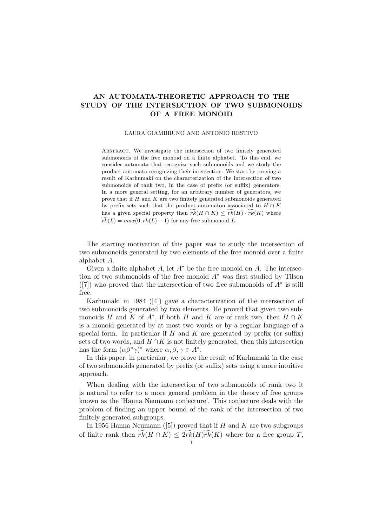## AN AUTOMATA-THEORETIC APPROACH TO THE STUDY OF THE INTERSECTION OF TWO SUBMONOIDS OF A FREE MONOID

## LAURA GIAMBRUNO AND ANTONIO RESTIVO

ABSTRACT. We investigate the intersection of two finitely generated submonoids of the free monoid on a finite alphabet. To this end, we consider automata that recognize such submonoids and we study the product automata recognizing their intersection. We start by proving a result of Karhumaki on the characterization of the intersection of two submonoids of rank two, in the case of prefix (or suffix) generators. In a more general setting, for an arbitrary number of generators, we prove that if  $H$  and  $K$  are two finitely generated submonoids generated by prefix sets such that the product automaton associated to  $H \cap K$ has a given special property then  $\widetilde{rk}(H \cap K) \leq \widetilde{rk}(H) \cdot \widetilde{rk}(K)$  where  $\widetilde{rk}(L) = max(0, rk(L) - 1)$  for any free submonoid L.

The starting motivation of this paper was to study the intersection of two submonoids generated by two elements of the free monoid over a finite alphabet A.

Given a finite alphabet A, let  $A^*$  be the free monoid on A. The intersection of two submonoids of the free monoid  $A^*$  was first studied by Tilson  $([7])$  who proved that the intersection of two free submonoids of  $A^*$  is still free.

Karhumaki in 1984 ([4]) gave a characterization of the intersection of two submonoids generated by two elements. He proved that given two submonoids H and K of  $A^*$ , if both H and K are of rank two, then  $H \cap K$ is a monoid generated by at most two words or by a regular language of a special form. In particular if H and K are generated by prefix (or suffix) sets of two words, and  $H \cap K$  is not finitely generated, then this intersection has the form  $(\alpha \beta^* \gamma)^*$  where  $\alpha, \beta, \gamma \in A^*$ .

In this paper, in particular, we prove the result of Karhumaki in the case of two submonoids generated by prefix (or suffix) sets using a more intuitive approach.

When dealing with the intersection of two submonoids of rank two it is natural to refer to a more general problem in the theory of free groups known as the 'Hanna Neumann conjecture'. This conjecture deals with the problem of finding an upper bound of the rank of the intersection of two finitely generated subgroups.

In 1956 Hanna Neumann ([5]) proved that if  $H$  and  $K$  are two subgroups of finite rank then  $\widetilde{rk}(H \cap K) \leq 2\widetilde{rk}(H)\widetilde{rk}(K)$  where for a free group T,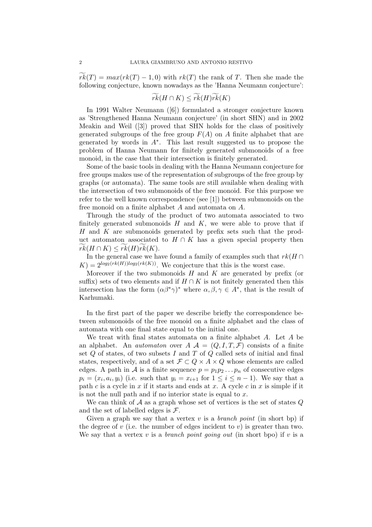$rk(T) = max(rk(T) - 1, 0)$  with  $rk(T)$  the rank of T. Then she made the following conjecture, known nowadays as the 'Hanna Neumann conjecture':

$$
\widetilde{rk}(H \cap K) \leq \widetilde{rk}(H)\widetilde{rk}(K)
$$

In 1991 Walter Neumann ([6]) formulated a stronger conjecture known as 'Strengthened Hanna Neumann conjecture' (in short SHN) and in 2002 Meakin and Weil ([3]) proved that SHN holds for the class of positively generated subgroups of the free group  $F(A)$  on A finite alphabet that are generated by words in  $A^*$ . This last result suggested us to propose the problem of Hanna Neumann for finitely generated submonoids of a free monoid, in the case that their intersection is finitely generated.

Some of the basic tools in dealing with the Hanna Neumann conjecture for free groups makes use of the representation of subgroups of the free group by graphs (or automata). The same tools are still available when dealing with the intersection of two submonoids of the free monoid. For this purpose we refer to the well known correspondence (see [1]) between submonoids on the free monoid on a finite alphabet A and automata on A.

Through the study of the product of two automata associated to two finitely generated submonoids  $H$  and  $K$ , we were able to prove that if H and K are submonoids generated by prefix sets such that the product automaton associated to  $H \cap K$  has a given special property then  $rk(H \cap K) \leq rk(H)rk(K).$ 

In the general case we have found a family of examples such that  $rk(H \cap$  $K$ ) =  $2^{\log_2(rk(H))\log_2(rk(K))}$ . We conjecture that this is the worst case.

Moreover if the two submonoids  $H$  and  $K$  are generated by prefix (or suffix) sets of two elements and if  $H \cap K$  is not finitely generated then this intersection has the form  $(\alpha\beta^*\gamma)^*$  where  $\alpha, \beta, \gamma \in A^*$ , that is the result of Karhumaki.

In the first part of the paper we describe briefly the correspondence between submonoids of the free monoid on a finite alphabet and the class of automata with one final state equal to the initial one.

We treat with final states automata on a finite alphabet A. Let A be an alphabet. An *automaton* over  $A \mathcal{A} = (Q, I, T, \mathcal{F})$  consists of a finite set  $Q$  of states, of two subsets  $I$  and  $T$  of  $Q$  called sets of initial and final states, respectively, and of a set  $\mathcal{F} \subset Q \times A \times Q$  whose elements are called edges. A path in A is a finite sequence  $p = p_1 p_2 \dots p_n$  of consecutive edges  $p_i = (x_i, a_i, y_i)$  (i.e. such that  $y_i = x_{i+1}$  for  $1 \leq i \leq n-1$ ). We say that a path c is a cycle in x if it starts and ends at x. A cycle c in x is simple if it is not the null path and if no interior state is equal to  $x$ .

We can think of  $A$  as a graph whose set of vertices is the set of states  $Q$ and the set of labelled edges is  $\mathcal{F}$ .

Given a graph we say that a vertex  $v$  is a *branch point* (in short bp) if the degree of v (i.e. the number of edges incident to v) is greater than two. We say that a vertex  $v$  is a *branch point going out* (in short bpo) if  $v$  is a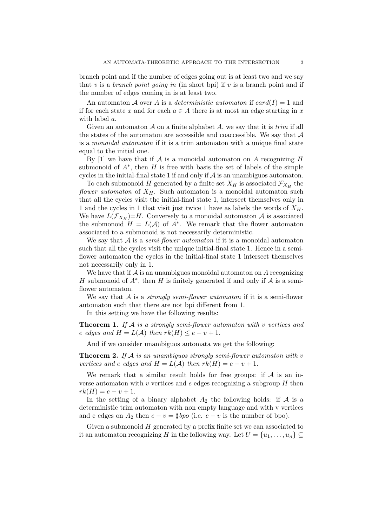branch point and if the number of edges going out is at least two and we say that v is a branch point going in (in short bpi) if v is a branch point and if the number of edges coming in is at least two.

An automaton A over A is a *deterministic automaton* if  $card(I) = 1$  and if for each state x and for each  $a \in A$  there is at most an edge starting in x with label a.

Given an automaton  $A$  on a finite alphabet  $A$ , we say that it is trim if all the states of the automaton are accessible and coaccessible. We say that  $\mathcal A$ is a monoidal automaton if it is a trim automaton with a unique final state equal to the initial one.

By  $|1|$  we have that if A is a monoidal automaton on A recognizing H submonoid of  $A^*$ , then H is free with basis the set of labels of the simple cycles in the initial-final state 1 if and only if  $A$  is an unambiguos automaton.

To each submonoid H generated by a finite set  $X_H$  is associated  $\mathcal{F}_{X_H}$  the flower automaton of  $X_H$ . Such automaton is a monoidal automaton such that all the cycles visit the initial-final state 1, intersect themselves only in 1 and the cycles in 1 that visit just twice 1 have as labels the words of  $X_H$ . We have  $L(\mathcal{F}_{X_H})=H$ . Conversely to a monoidal automaton  $\mathcal A$  is associated the submonoid  $H = L(A)$  of  $A^*$ . We remark that the flower automaton associated to a submonoid is not necessarily deterministic.

We say that  $A$  is a *semi-flower automaton* if it is a monoidal automaton such that all the cycles visit the unique initial-final state 1. Hence in a semiflower automaton the cycles in the initial-final state 1 intersect themselves not necessarily only in 1.

We have that if  $A$  is an unambiguos monoidal automaton on  $A$  recognizing H submonoid of  $A^*$ , then H is finitely generated if and only if  $A$  is a semiflower automaton.

We say that  $A$  is a *strongly semi-flower automaton* if it is a semi-flower automaton such that there are not bpi different from 1.

In this setting we have the following results:

**Theorem 1.** If  $A$  is a strongly semi-flower automaton with v vertices and e edges and  $H = L(\mathcal{A})$  then  $rk(H) \leq e - v + 1$ .

And if we consider unambiguos automata we get the following:

**Theorem 2.** If  $A$  is an unambiguos strongly semi-flower automaton with v vertices and e edges and  $H = L(\mathcal{A})$  then  $rk(H) = e - v + 1$ .

We remark that a similar result holds for free groups: if  $A$  is an inverse automaton with v vertices and e edges recognizing a subgroup  $H$  then  $rk(H) = e - v + 1.$ 

In the setting of a binary alphabet  $A_2$  the following holds: if  $A$  is a deterministic trim automaton with non empty language and with v vertices and e edges on  $A_2$  then  $e - v = \sharp bpo$  (i.e.  $e - v$  is the number of bpo).

Given a submonoid  $H$  generated by a prefix finite set we can associated to it an automaton recognizing H in the following way. Let  $U = \{u_1, \ldots, u_n\} \subseteq$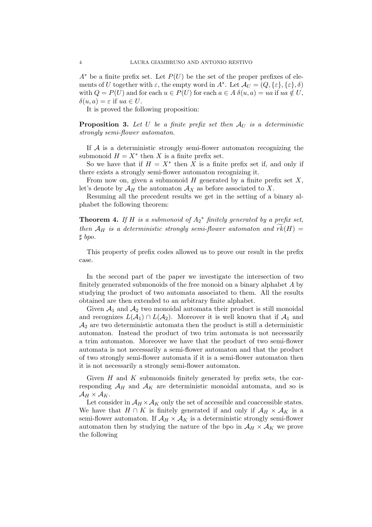$A^*$  be a finite prefix set. Let  $P(U)$  be the set of the proper prefixes of elements of U together with  $\varepsilon$ , the empty word in  $A^*$ . Let  $\mathcal{A}_U = (Q, \{\varepsilon\}, \{\varepsilon\}, \delta)$ with  $Q = P(U)$  and for each  $u \in P(U)$  for each  $a \in A \delta(u, a) = ua$  if  $ua \notin U$ ,  $\delta(u, a) = \varepsilon$  if  $ua \in U$ .

It is proved the following proposition:

**Proposition 3.** Let U be a finite prefix set then  $A_U$  is a deterministic strongly semi-flower automaton.

If  $A$  is a deterministic strongly semi-flower automaton recognizing the submonoid  $H = X^*$  then X is a finite prefix set.

So we have that if  $H = X^*$  then X is a finite prefix set if, and only if there exists a strongly semi-flower automaton recognizing it.

From now on, given a submonoid  $H$  generated by a finite prefix set  $X$ , let's denote by  $\mathcal{A}_H$  the automaton  $\mathcal{A}_X$  as before associated to X.

Resuming all the precedent results we get in the setting of a binary alphabet the following theorem:

**Theorem 4.** If H is a submonoid of  $A_2^*$  finitely generated by a prefix set, then  $\mathcal{A}_H$  is a deterministic strongly semi-flower automaton and  $\widetilde{rk}(H) =$  $\sharp$  bpo.

This property of prefix codes allowed us to prove our result in the prefix case.

In the second part of the paper we investigate the intersection of two finitely generated submonoids of the free monoid on a binary alphabet A by studying the product of two automata associated to them. All the results obtained are then extended to an arbitrary finite alphabet.

Given  $A_1$  and  $A_2$  two monoidal automata their product is still monoidal and recognizes  $L(\mathcal{A}_1) \cap L(\mathcal{A}_2)$ . Moreover it is well known that if  $\mathcal{A}_1$  and  $\mathcal{A}_2$  are two deterministic automata then the product is still a deterministic automaton. Instead the product of two trim automata is not necessarily a trim automaton. Moreover we have that the product of two semi-flower automata is not necessarily a semi-flower automaton and that the product of two strongly semi-flower automata if it is a semi-flower automaton then it is not necessarily a strongly semi-flower automaton.

Given  $H$  and  $K$  submonoids finitely generated by prefix sets, the corresponding  $A_H$  and  $A_K$  are deterministic monoidal automata, and so is  $\mathcal{A}_H \times \mathcal{A}_K$ .

Let consider in  $A_H \times A_K$  only the set of accessible and coaccessible states. We have that  $H \cap K$  is finitely generated if and only if  $\mathcal{A}_H \times \mathcal{A}_K$  is a semi-flower automaton. If  $\mathcal{A}_H \times \mathcal{A}_K$  is a deterministic strongly semi-flower automaton then by studying the nature of the bpo in  $\mathcal{A}_H \times \mathcal{A}_K$  we prove the following